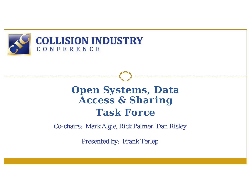

#### **COLLISION INDUSTRY** CONFERENCE

## **Open Systems, Data Access & Sharing Task Force**

Co-chairs: Mark Algie, Rick Palmer, Dan Risley

Presented by: Frank Terlep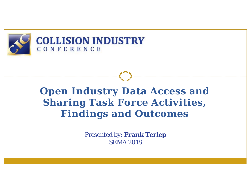

#### **COLLISION INDUSTRY** CONFERENCE

# **Open Industry Data Access and Sharing Task Force Activities, Findings and Outcomes**

Presented by: **Frank Terlep** SEMA 2018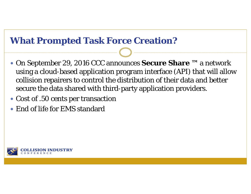#### **What Prompted Task Force Creation?**

- On September 29, 2016 CCC announces **Secure Share ™** a network using a cloud-based application program interface (API) that will allow collision repairers to control the distribution of their data and better secure the data shared with third-party application providers.
- Cost of .50 cents per transaction
- $\bullet$ End of life for EMS standard

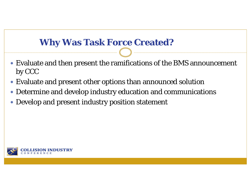## **Why Was Task Force Created?**

- Evaluate and then present the ramifications of the BMS announcement by CCC
- Evaluate and present other options than announced solution
- Determine and develop industry education and communications
- Develop and present industry position statement

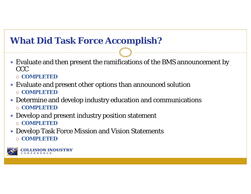## **What Did Task Force Accomplish?**

- Evaluate and then present the ramifications of the BMS announcement by CCC
	- **COMPLETED**
- Evaluate and present other options than announced solution **COMPLETED**
- Determine and develop industry education and communications **COMPLETED**
- Develop and present industry position statement **COMPLETED**
- Develop Task Force Mission and Vision Statements **COMPLETED**



**ISION INDUSTRY**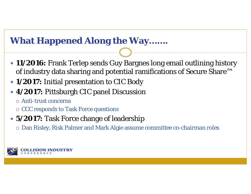## **What Happened Along the Way…….**

- **11/2016:** Frank Terlep sends Guy Bargnes long email outlining history of industry data sharing and potential ramifications of Secure Share™
- **1/2017:** Initial presentation to CIC Body
- **4/2017:** Pittsburgh CIC panel Discussion
	- Anti-trust concerns
	- $\circ$  CCC responds to Task Force questions
- **5/2017:** Task Force change of leadership
	- Dan Risley, Risk Palmer and Mark Algie assume committee co-chairman roles

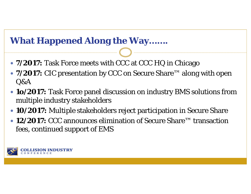## **What Happened Along the Way…….**

- **7/2017:** Task Force meets with CCC at CCC HQ in Chicago
- **7/2017:** CIC presentation by CCC on Secure Share™ along with open Q&A
- **1o/2017:** Task Force panel discussion on industry BMS solutions from multiple industry stakeholders
- **10/2017:** Multiple stakeholders reject participation in Secure Share
- **12/2017:** CCC announces elimination of Secure Share™ transaction fees, continued support of EMS

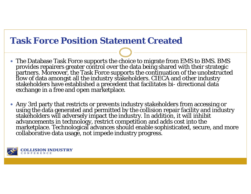#### **Task Force Position Statement Created**

- The Database Task Force supports the choice to migrate from EMS to BMS. BMS provides repairers greater control over the data being shared with their strategic<br>partners. Moreover, the Task Force supports the continuation of the unobstructed<br>flow of data amongst all the industry stakeholders. CIECA
- 0 Any 3rd party that restricts or prevents industry stakeholders from accessing or<br>using the data generated and permitted by the collision repair facility and industry<br>stakeholders will adversely impact the industry. In addi

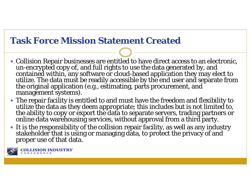## **Task Force Mission Statement Created**

- Collision Repair businesses are entitled to have direct access to an electronic, un-encrypted copy of, and full rights to use the data generated by, and<br>contained within, any software or cloud-based application they may elect to<br>utilize. The data must be readily accessible by the end user and separate
- The repair facility is entitled to and must have the freedom and flexibility to utilize the data as they deem appropriate; this includes but is not limited to, the ability to copy or export the data to separate servers, trading partners or online data warehousing services, without approval from a third party.
- It is the responsibility of the collision repair facility, as well as any industry stakeholder that is using or managing data, to protect the privacy of and proper use of that data.



**ISION INDUSTRY**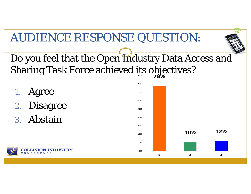# AUDIENCE RESPONSE QUESTION:



- 1. Agree
- 2. Disagree
- 3. Abstain



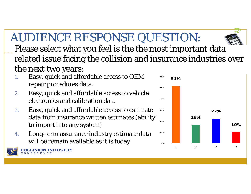# AUDIENCE RESPONSE QUESTION:

Please select what you feel is the the most important data related issue facing the collision and insurance industries over the next two years:

- 1. Easy, quick and affordable access to OEM repair procedures data.
- 2. Easy, quick and affordable access to vehicle electronics and calibration data
- 3. Easy, quick and affordable access to estimate data from insurance written estimates (ability to import into any system)
- 4. Long-term assurance industry estimate data will be remain available as it is today



**LISION INDUSTRY** 



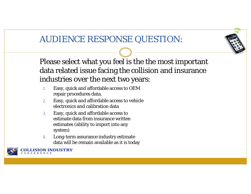## AUDIENCE RESPONSE QUESTION:



- 1. Easy, quick and affordable access to OEM repair procedures data.
- 2. Easy, quick and affordable access to vehicle electronics and calibration data
- 3. Easy, quick and affordable access to estimate data from insurance written estimates (ability to import into any system)
- 4. Long-term assurance industry estimate data will be remain available as it is today

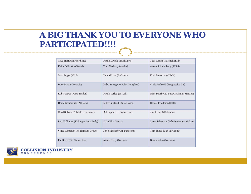#### **A BIG THANK YOU TO EVERYONE WHO PARTICIPATED!!!!**

| Greg Horn (Hartford Inc)             | Frank Laviola (Paul Davis)     | Jack Rozint (Mitchell Int'l)          |
|--------------------------------------|--------------------------------|---------------------------------------|
| Keith Bell (Akzo Nobel)              | Tom McGarry (Axalta)           | Aaron Schulenberg (SCRS)              |
| Scott Biggs (APN)                    | Don Mikrut (Audatex)           | Fred Iantorno (CIECA)                 |
| Dave Braun (Nexsyis)                 | Robb Young (10 Point Complete) | Chris Andreoli (Progressive Ins)      |
| Rob Cooper (Parts Trader)            | Frank Terlep (asTech)          | Rick Tuuri (CIC Past Chairman Mentor) |
| Dean Ricciardulli (AllData)          | Mike Gilliland (Auto House)    | Daniel Friedman (EHI)                 |
| Chad Sulkala (Allstate Insurance)    | Bill Lopez (OE Connection)     | Jim Keller (1Collision)               |
| Bert Kollinger (Kollinger Auto Body) | John Vito (Hertz)              | Steve Seissman (Vehicle Owners Guide) |
| Vince Romans (The Romans Group)      | Jeff Schroder (Car-Part.com)   | Tom Julius (Car-Part.com)             |
| Pat Blech (OE Connection)            | Aimee Getty (Nexsyis)          | Bernie Allen (Nexsyis)                |

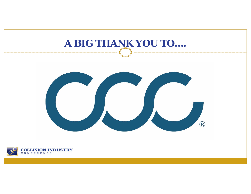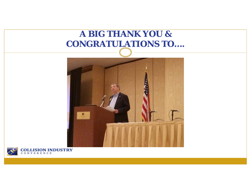## **A BIG THANK YOU & CONGRATULATIONS TO....**